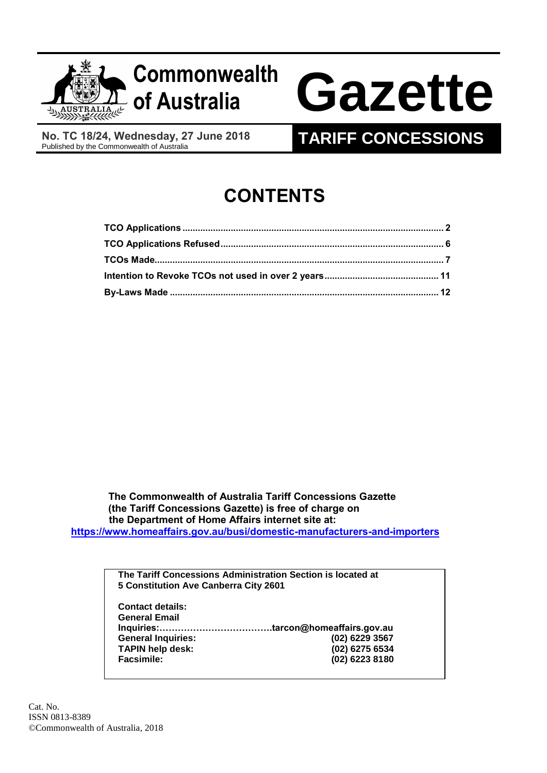

**No. TC 18/24, Wednesday, 27 June 2018**

## **TARIFF CONCESSIONS**

# **CONTENTS**

 **The Commonwealth of Australia Tariff Concessions Gazette (the Tariff Concessions Gazette) is free of charge on the Department of Home Affairs internet site at: <https://www.homeaffairs.gov.au/busi/domestic-manufacturers-and-importers>**

> **The Tariff Concessions Administration Section is located at 5 Constitution Ave Canberra City 2601**

| <b>Contact details:</b>   |                |
|---------------------------|----------------|
| <b>General Email</b>      |                |
|                           |                |
| <b>General Inquiries:</b> | (02) 6229 3567 |
| <b>TAPIN help desk:</b>   | (02) 6275 6534 |
| <b>Facsimile:</b>         | (02) 6223 8180 |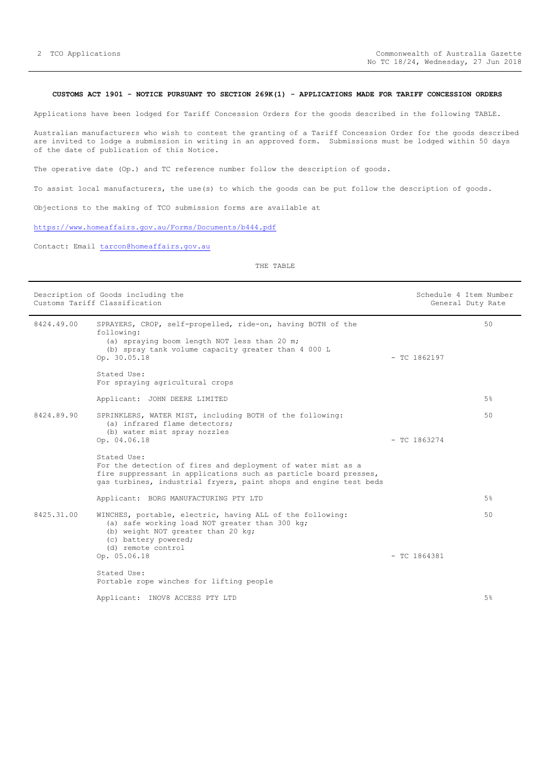#### <span id="page-1-0"></span>**CUSTOMS ACT 1901 - NOTICE PURSUANT TO SECTION 269K(1) - APPLICATIONS MADE FOR TARIFF CONCESSION ORDERS**

Applications have been lodged for Tariff Concession Orders for the goods described in the following TABLE.

Australian manufacturers who wish to contest the granting of a Tariff Concession Order for the goods described are invited to lodge a submission in writing in an approved form. Submissions must be lodged within 50 days of the date of publication of this Notice.

The operative date (Op.) and TC reference number follow the description of goods.

To assist local manufacturers, the use(s) to which the goods can be put follow the description of goods.

Objections to the making of TCO submission forms are available at

<https://www.homeaffairs.gov.au/Forms/Documents/b444.pdf>

Contact: Email [tarcon@homeaffairs.gov.au](mailto:tarcon@homeaffairs.gov.au)

THE TABLE

| Description of Goods including the<br>Customs Tariff Classification |                                                                                                                                                                                                                      |                | Schedule 4 Item Number<br>General Duty Rate |
|---------------------------------------------------------------------|----------------------------------------------------------------------------------------------------------------------------------------------------------------------------------------------------------------------|----------------|---------------------------------------------|
| 8424.49.00                                                          | SPRAYERS, CROP, self-propelled, ride-on, having BOTH of the<br>following:<br>(a) spraying boom length NOT less than 20 m;<br>(b) spray tank volume capacity greater than 4 000 L<br>Op. 30.05.18                     | $-$ TC 1862197 | 50                                          |
|                                                                     | Stated Use:<br>For spraying agricultural crops                                                                                                                                                                       |                |                                             |
|                                                                     | Applicant: JOHN DEERE LIMITED                                                                                                                                                                                        |                | 5%                                          |
| 8424.89.90                                                          | SPRINKLERS, WATER MIST, including BOTH of the following:<br>(a) infrared flame detectors;<br>(b) water mist spray nozzles<br>Op. 04.06.18                                                                            | $-$ TC 1863274 | 50                                          |
|                                                                     | Stated Use:<br>For the detection of fires and deployment of water mist as a<br>fire suppressant in applications such as particle board presses,<br>gas turbines, industrial fryers, paint shops and engine test beds |                |                                             |
|                                                                     | Applicant: BORG MANUFACTURING PTY LTD                                                                                                                                                                                |                | 5%                                          |
| 8425.31.00                                                          | WINCHES, portable, electric, having ALL of the following:<br>(a) safe working load NOT greater than 300 kg;<br>(b) weight NOT greater than 20 kg;<br>(c) battery powered;<br>(d) remote control                      |                | 50                                          |
|                                                                     | Op. 05.06.18                                                                                                                                                                                                         | $-$ TC 1864381 |                                             |
|                                                                     | Stated Use:<br>Portable rope winches for lifting people                                                                                                                                                              |                |                                             |
|                                                                     | Applicant: INOV8 ACCESS PTY LTD                                                                                                                                                                                      |                | 5%                                          |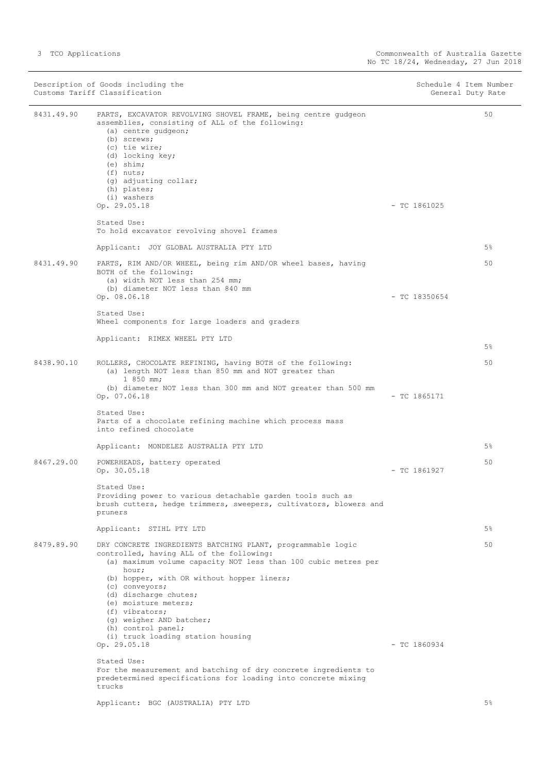|            | Description of Goods including the<br>Customs Tariff Classification                                                                                                                                                                                                                                                                                                                                          | Schedule 4 Item Number<br>General Duty Rate |
|------------|--------------------------------------------------------------------------------------------------------------------------------------------------------------------------------------------------------------------------------------------------------------------------------------------------------------------------------------------------------------------------------------------------------------|---------------------------------------------|
| 8431.49.90 | PARTS, EXCAVATOR REVOLVING SHOVEL FRAME, being centre gudgeon<br>assemblies, consisting of ALL of the following:<br>(a) centre gudgeon;<br>(b) screws;<br>(c) tie wire;<br>(d) locking key;<br>$(e)$ shim;<br>$(f)$ nuts;<br>(q) adjusting collar;<br>(h) plates;<br>(i) washers<br>Op. 29.05.18                                                                                                             | 50<br>$-$ TC 1861025                        |
|            | Stated Use:<br>To hold excavator revolving shovel frames                                                                                                                                                                                                                                                                                                                                                     |                                             |
|            | Applicant: JOY GLOBAL AUSTRALIA PTY LTD                                                                                                                                                                                                                                                                                                                                                                      | $5\%$                                       |
| 8431.49.90 | PARTS, RIM AND/OR WHEEL, being rim AND/OR wheel bases, having<br>BOTH of the following:<br>(a) width NOT less than 254 mm;<br>(b) diameter NOT less than 840 mm<br>Op. 08.06.18                                                                                                                                                                                                                              | 50<br>$-$ TC 18350654                       |
|            | Stated Use:<br>Wheel components for large loaders and graders                                                                                                                                                                                                                                                                                                                                                |                                             |
|            | Applicant: RIMEX WHEEL PTY LTD                                                                                                                                                                                                                                                                                                                                                                               | $5\%$                                       |
| 8438.90.10 | ROLLERS, CHOCOLATE REFINING, having BOTH of the following:<br>(a) length NOT less than 850 mm and NOT greater than<br>$1850$ mm;<br>(b) diameter NOT less than 300 mm and NOT greater than 500 mm<br>Op. 07.06.18                                                                                                                                                                                            | 50<br>$-$ TC 1865171                        |
|            | Stated Use:<br>Parts of a chocolate refining machine which process mass<br>into refined chocolate                                                                                                                                                                                                                                                                                                            |                                             |
|            | Applicant: MONDELEZ AUSTRALIA PTY LTD                                                                                                                                                                                                                                                                                                                                                                        | $5\%$                                       |
| 8467.29.00 | POWERHEADS, battery operated<br>Op. 30.05.18                                                                                                                                                                                                                                                                                                                                                                 | 50<br>$-$ TC 1861927                        |
|            | Stated Use:<br>Providing power to various detachable garden tools such as<br>brush cutters, hedge trimmers, sweepers, cultivators, blowers and<br>pruners                                                                                                                                                                                                                                                    |                                             |
|            | Applicant: STIHL PTY LTD                                                                                                                                                                                                                                                                                                                                                                                     | $5\%$                                       |
| 8479.89.90 | DRY CONCRETE INGREDIENTS BATCHING PLANT, programmable logic<br>controlled, having ALL of the following:<br>(a) maximum volume capacity NOT less than 100 cubic metres per<br>hour;<br>(b) hopper, with OR without hopper liners;<br>(c) conveyors;<br>(d) discharge chutes;<br>(e) moisture meters;<br>(f) vibrators;<br>(q) weigher AND batcher;<br>(h) control panel;<br>(i) truck loading station housing | 50                                          |
|            | Op. 29.05.18                                                                                                                                                                                                                                                                                                                                                                                                 | $-$ TC 1860934                              |
|            | Stated Use:<br>For the measurement and batching of dry concrete ingredients to<br>predetermined specifications for loading into concrete mixing<br>trucks                                                                                                                                                                                                                                                    |                                             |
|            | Applicant: BGC (AUSTRALIA) PTY LTD                                                                                                                                                                                                                                                                                                                                                                           | 5%                                          |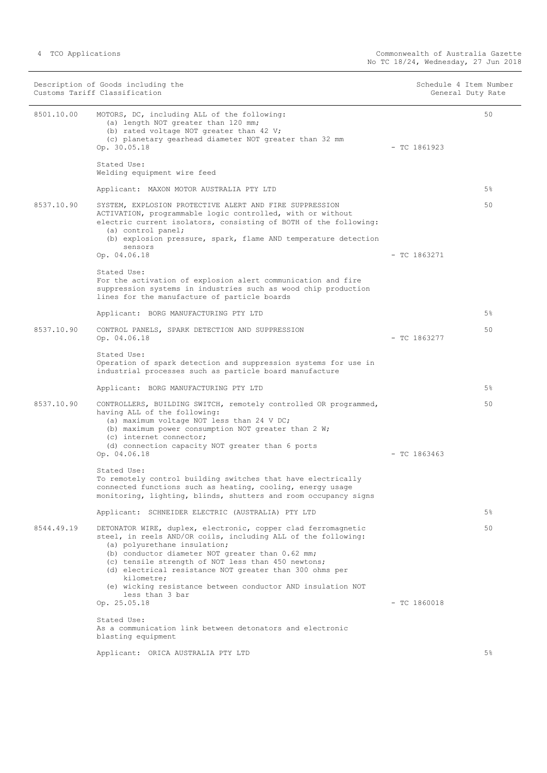|            | Description of Goods including the<br>Customs Tariff Classification                                                                                                                                                                                                                                                                                                                                                                 | Schedule 4 Item Number<br>General Duty Rate |  |
|------------|-------------------------------------------------------------------------------------------------------------------------------------------------------------------------------------------------------------------------------------------------------------------------------------------------------------------------------------------------------------------------------------------------------------------------------------|---------------------------------------------|--|
| 8501.10.00 | MOTORS, DC, including ALL of the following:<br>(a) length NOT greater than 120 mm;<br>(b) rated voltage NOT greater than 42 V;<br>(c) planetary gearhead diameter NOT greater than 32 mm<br>Op. 30.05.18                                                                                                                                                                                                                            | 50<br>$-$ TC 1861923                        |  |
|            | Stated Use:<br>Welding equipment wire feed                                                                                                                                                                                                                                                                                                                                                                                          |                                             |  |
|            | Applicant: MAXON MOTOR AUSTRALIA PTY LTD                                                                                                                                                                                                                                                                                                                                                                                            | $5\%$                                       |  |
| 8537.10.90 | SYSTEM, EXPLOSION PROTECTIVE ALERT AND FIRE SUPPRESSION<br>ACTIVATION, programmable logic controlled, with or without<br>electric current isolators, consisting of BOTH of the following:<br>(a) control panel;<br>(b) explosion pressure, spark, flame AND temperature detection                                                                                                                                                   | 50                                          |  |
|            | sensors<br>Op. 04.06.18                                                                                                                                                                                                                                                                                                                                                                                                             | $-$ TC 1863271                              |  |
|            | Stated Use:<br>For the activation of explosion alert communication and fire<br>suppression systems in industries such as wood chip production<br>lines for the manufacture of particle boards                                                                                                                                                                                                                                       |                                             |  |
|            | Applicant: BORG MANUFACTURING PTY LTD                                                                                                                                                                                                                                                                                                                                                                                               | $5\%$                                       |  |
| 8537.10.90 | CONTROL PANELS, SPARK DETECTION AND SUPPRESSION<br>Op. 04.06.18                                                                                                                                                                                                                                                                                                                                                                     | 50<br>$-$ TC 1863277                        |  |
|            | Stated Use:<br>Operation of spark detection and suppression systems for use in<br>industrial processes such as particle board manufacture                                                                                                                                                                                                                                                                                           |                                             |  |
|            | Applicant: BORG MANUFACTURING PTY LTD                                                                                                                                                                                                                                                                                                                                                                                               | $5\%$                                       |  |
| 8537.10.90 | CONTROLLERS, BUILDING SWITCH, remotely controlled OR programmed,<br>having ALL of the following:<br>(a) maximum voltage NOT less than 24 V DC;<br>(b) maximum power consumption NOT greater than 2 W;<br>(c) internet connector;<br>(d) connection capacity NOT greater than 6 ports                                                                                                                                                | 50                                          |  |
|            | Op. 04.06.18                                                                                                                                                                                                                                                                                                                                                                                                                        | $-$ TC 1863463                              |  |
|            | Stated Use:<br>To remotely control building switches that have electrically<br>connected functions such as heating, cooling, energy usage<br>monitoring, lighting, blinds, shutters and room occupancy signs                                                                                                                                                                                                                        |                                             |  |
|            | Applicant: SCHNEIDER ELECTRIC (AUSTRALIA) PTY LTD                                                                                                                                                                                                                                                                                                                                                                                   | $5\%$                                       |  |
| 8544.49.19 | DETONATOR WIRE, duplex, electronic, copper clad ferromagnetic<br>steel, in reels AND/OR coils, including ALL of the following:<br>(a) polyurethane insulation;<br>(b) conductor diameter NOT greater than 0.62 mm;<br>(c) tensile strength of NOT less than 450 newtons;<br>(d) electrical resistance NOT greater than 300 ohms per<br>kilometre;<br>(e) wicking resistance between conductor AND insulation NOT<br>less than 3 bar | 50                                          |  |
|            | Op. 25.05.18                                                                                                                                                                                                                                                                                                                                                                                                                        | $-$ TC 1860018                              |  |
|            | Stated Use:<br>As a communication link between detonators and electronic<br>blasting equipment                                                                                                                                                                                                                                                                                                                                      |                                             |  |
|            | Applicant: ORICA AUSTRALIA PTY LTD                                                                                                                                                                                                                                                                                                                                                                                                  | 5%                                          |  |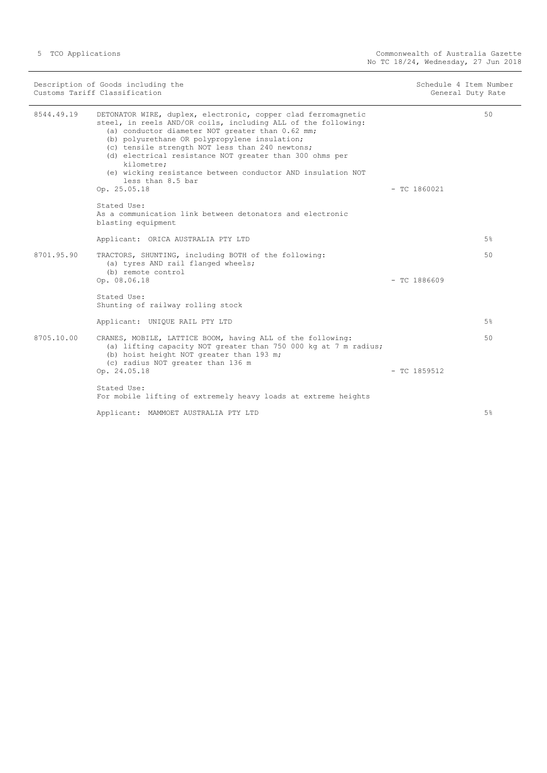| Description of Goods including the<br>Customs Tariff Classification |                                                                                                                                                                                                                                                                                                                                                                                                                                                                     | Schedule 4 Item Number<br>General Duty Rate |       |
|---------------------------------------------------------------------|---------------------------------------------------------------------------------------------------------------------------------------------------------------------------------------------------------------------------------------------------------------------------------------------------------------------------------------------------------------------------------------------------------------------------------------------------------------------|---------------------------------------------|-------|
| 8544.49.19                                                          | DETONATOR WIRE, duplex, electronic, copper clad ferromagnetic<br>steel, in reels AND/OR coils, including ALL of the following:<br>(a) conductor diameter NOT greater than 0.62 mm;<br>(b) polyurethane OR polypropylene insulation;<br>(c) tensile strength NOT less than 240 newtons;<br>(d) electrical resistance NOT greater than 300 ohms per<br>kilometre;<br>(e) wicking resistance between conductor AND insulation NOT<br>less than 8.5 bar<br>Op. 25.05.18 | $-$ TC 1860021                              | 50    |
|                                                                     | Stated Use:<br>As a communication link between detonators and electronic<br>blasting equipment                                                                                                                                                                                                                                                                                                                                                                      |                                             |       |
|                                                                     | Applicant: ORICA AUSTRALIA PTY LTD                                                                                                                                                                                                                                                                                                                                                                                                                                  |                                             | 5%    |
| 8701.95.90                                                          | TRACTORS, SHUNTING, including BOTH of the following:<br>(a) tyres AND rail flanged wheels;<br>(b) remote control<br>Op. 08.06.18                                                                                                                                                                                                                                                                                                                                    | $-$ TC 1886609                              | 50    |
|                                                                     | Stated Use:<br>Shunting of railway rolling stock                                                                                                                                                                                                                                                                                                                                                                                                                    |                                             |       |
|                                                                     | Applicant: UNIQUE RAIL PTY LTD                                                                                                                                                                                                                                                                                                                                                                                                                                      |                                             | $5\%$ |
| 8705.10.00                                                          | CRANES, MOBILE, LATTICE BOOM, having ALL of the following:<br>(a) lifting capacity NOT greater than 750 000 kg at 7 m radius;<br>(b) hoist height NOT greater than 193 m;<br>(c) radius NOT greater than 136 m                                                                                                                                                                                                                                                      |                                             | 50    |
|                                                                     | Op. 24.05.18                                                                                                                                                                                                                                                                                                                                                                                                                                                        | $-$ TC 1859512                              |       |
|                                                                     | Stated Use:<br>For mobile lifting of extremely heavy loads at extreme heights                                                                                                                                                                                                                                                                                                                                                                                       |                                             |       |
|                                                                     | Applicant: MAMMOET AUSTRALIA PTY LTD                                                                                                                                                                                                                                                                                                                                                                                                                                |                                             | $5\%$ |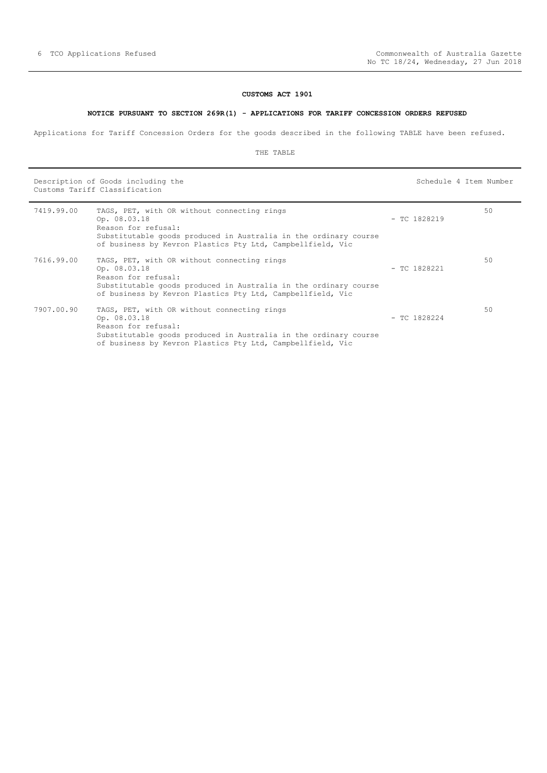#### **CUSTOMS ACT 1901**

#### **NOTICE PURSUANT TO SECTION 269R(1) - APPLICATIONS FOR TARIFF CONCESSION ORDERS REFUSED**

<span id="page-5-0"></span>Applications for Tariff Concession Orders for the goods described in the following TABLE have been refused.

#### THE TABLE

Description of Goods including the Schedule 4 Item Number (Schedule 4 Item Number Customs Tariff Classification

| 7419.99.00 | TAGS, PET, with OR without connecting rings<br>Op. 08.03.18<br>Reason for refusal:<br>Substitutable goods produced in Australia in the ordinary course<br>of business by Kevron Plastics Pty Ltd, Campbellfield, Vic | $-$ TC 1828219 | 50 |
|------------|----------------------------------------------------------------------------------------------------------------------------------------------------------------------------------------------------------------------|----------------|----|
| 7616.99.00 | TAGS, PET, with OR without connecting rings<br>Op. 08.03.18<br>Reason for refusal:<br>Substitutable goods produced in Australia in the ordinary course<br>of business by Kevron Plastics Pty Ltd, Campbellfield, Vic | $-$ TC 1828221 | 50 |
| 7907.00.90 | TAGS, PET, with OR without connecting rings<br>Op. 08.03.18<br>Reason for refusal:<br>Substitutable goods produced in Australia in the ordinary course<br>of business by Kevron Plastics Pty Ltd, Campbellfield, Vic | $-$ TC 1828224 | 50 |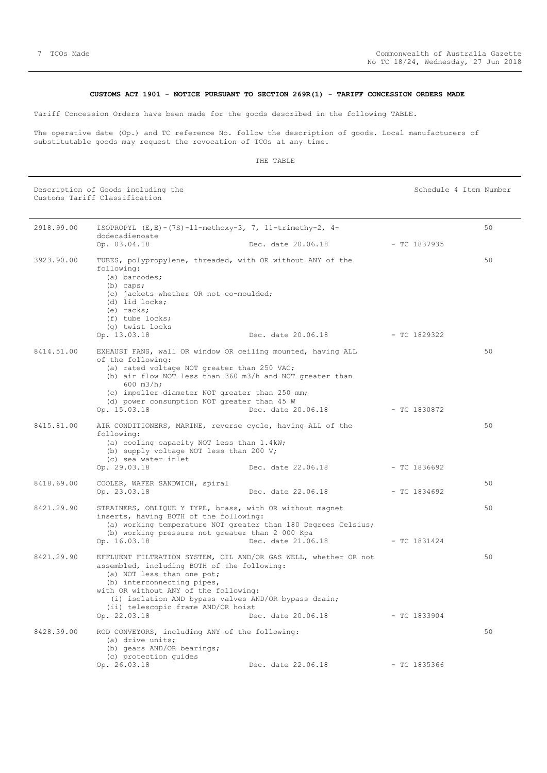#### **CUSTOMS ACT 1901 - NOTICE PURSUANT TO SECTION 269R(1) - TARIFF CONCESSION ORDERS MADE**

<span id="page-6-0"></span>Tariff Concession Orders have been made for the goods described in the following TABLE.

The operative date (Op.) and TC reference No. follow the description of goods. Local manufacturers of substitutable goods may request the revocation of TCOs at any time.

#### THE TABLE

Description of Goods including the Schedule 4 Item Number (Schedule 4 Item Number Customs Tariff Classification

2918.99.00 ISOPROPYL (E,E)-(7S)-11-methoxy-3, 7, 11-trimethy-2, 4 dodecadienoate Op. 03.04.18 Dec. date 20.06.18 - TC 1837935 50 3923.90.00 TUBES, polypropylene, threaded, with OR without ANY of the following: (a) barcodes; (b) caps; (c) jackets whether OR not co-moulded; (d) lid locks; (e) racks; (f) tube locks; (g) twist locks<br>Op.  $13.03.18$ Op. 13.03.18 Dec. date 20.06.18 - TC 1829322 50 8414.51.00 EXHAUST FANS, wall OR window OR ceiling mounted, having ALL of the following: (a) rated voltage NOT greater than 250 VAC; (b) air flow NOT less than 360 m3/h and NOT greater than 600 m3/h; (c) impeller diameter NOT greater than 250 mm; (d) power consumption NOT greater than 45 W Dec. date 20.06.18 - TC 1830872  $50$ 8415.81.00 AIR CONDITIONERS, MARINE, reverse cycle, having ALL of the following: (a) cooling capacity NOT less than 1.4kW; (b) supply voltage NOT less than 200 V; (c) sea water inlet<br>Op. 29.03.18 Dec. date 22.06.18 - TC 1836692 50 8418.69.00 COOLER, WAFER SANDWICH, spiral Dec. date 22.06.18 - TC 1834692 50 8421.29.90 STRAINERS, OBLIQUE Y TYPE, brass, with OR without magnet inserts, having BOTH of the following: (a) working temperature NOT greater than 180 Degrees Celsius; (b) working pressure not greater than 2 000 Kpa Op. 16.03.18 Dec. date 21.06.18 - TC 1831424 50 8421.29.90 EFFLUENT FILTRATION SYSTEM, OIL AND/OR GAS WELL, whether OR not assembled, including BOTH of the following: (a) NOT less than one pot; (b) interconnecting pipes, with OR without ANY of the following: (i) isolation AND bypass valves AND/OR bypass drain; (ii) telescopic frame AND/OR hoist Op. 22.03.18 Dec. date 20.06.18 - TC 1833904 50 8428.39.00 ROD CONVEYORS, including ANY of the following: (a) drive units; (b) gears AND/OR bearings; (c) protection guides Op. 26.03.18 Dec. date 22.06.18 - TC 1835366 50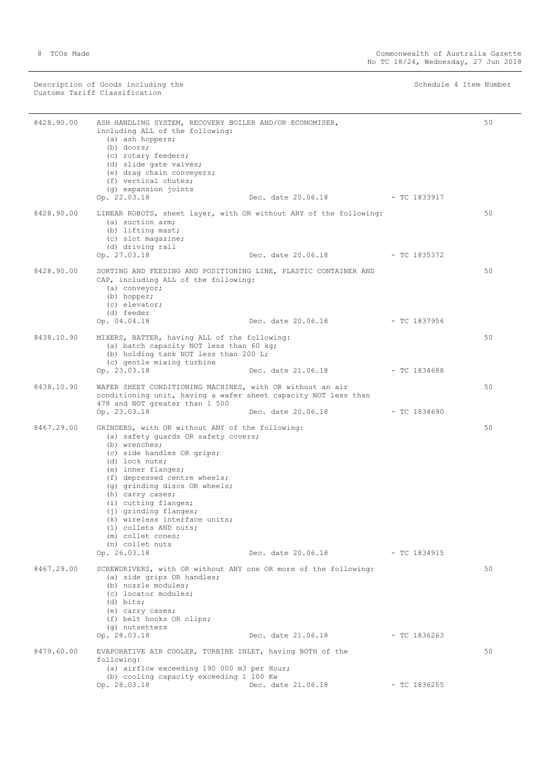Description of Goods including the Schedule 4 Item Number (Schedule 4 Item Number Customs Tariff Classification

÷,

| 8428.90.00 | ASH HANDLING SYSTEM, RECOVERY BOILER AND/OR ECONOMISER,<br>including ALL of the following:<br>(a) ash hoppers;<br>$(b)$ doors;<br>(c) rotary feeders;<br>(d) slide gate valves;<br>(e) drag chain conveyers;<br>(f) vertical chutes;<br>(g) expansion joints<br>Op. 22.03.18                                                                                                                                                          | Dec. date 20.06.18 | $-$ TC 1833917 | 50 |
|------------|---------------------------------------------------------------------------------------------------------------------------------------------------------------------------------------------------------------------------------------------------------------------------------------------------------------------------------------------------------------------------------------------------------------------------------------|--------------------|----------------|----|
| 8428.90.00 | LINEAR ROBOTS, sheet layer, with OR without ANY of the following:<br>(a) suction arm;<br>(b) lifting mast;<br>(c) slot magazine;<br>(d) driving rail                                                                                                                                                                                                                                                                                  |                    |                | 50 |
|            | Op. 27.03.18                                                                                                                                                                                                                                                                                                                                                                                                                          | Dec. date 20.06.18 | $-$ TC 1835372 |    |
| 8428.90.00 | SORTING AND FEEDING AND POSITIONING LINE, PLASTIC CONTAINER AND<br>CAP, including ALL of the following:<br>(a) conveyor;<br>(b) hopper;<br>(c) elevator;<br>(d) feeder<br>Op. 04.04.18                                                                                                                                                                                                                                                | Dec. date 20.06.18 | $-$ TC 1837956 | 50 |
|            |                                                                                                                                                                                                                                                                                                                                                                                                                                       |                    |                |    |
| 8438.10.90 | MIXERS, BATTER, having ALL of the following:<br>(a) batch capacity NOT less than 60 kg;<br>(b) holding tank NOT less than 200 L;<br>(c) gentle mixing turbine                                                                                                                                                                                                                                                                         |                    |                | 50 |
|            | Op. 23.03.18                                                                                                                                                                                                                                                                                                                                                                                                                          | Dec. date 21.06.18 | $-$ TC 1834688 |    |
| 8438.10.90 | WAFER SHEET CONDITIONING MACHINES, with OR without an air<br>conditioning unit, having a wafer sheet capacity NOT less than<br>478 and NOT greater than 1 500                                                                                                                                                                                                                                                                         |                    |                | 50 |
|            | Op. 23.03.18                                                                                                                                                                                                                                                                                                                                                                                                                          | Dec. date 20.06.18 | $-$ TC 1834690 |    |
| 8467.29.00 | GRINDERS, with OR without ANY of the following:<br>(a) safety quards OR safety covers;<br>(b) wrenches;<br>(c) side handles OR grips;<br>(d) lock nuts;<br>(e) inner flanges;<br>(f) depressed centre wheels;<br>(g) grinding discs OR wheels;<br>(h) carry cases;<br>(i) cutting flanges;<br>(j) grinding flanges;<br>(k) wireless interface units;<br>(1) collets AND nuts;<br>(m) collet cones;<br>(n) collet nuts<br>Op. 26.03.18 | Dec. date 20.06.18 | $-$ TC 1834915 | 50 |
| 8467.29.00 | SCREWDRIVERS, with OR without ANY one OR more of the following:<br>(a) side grips OR handles;<br>(b) nozzle modules;<br>(c) locator modules;<br>$(d)$ bits;<br>(e) carry cases;<br>(f) belt hooks OR clips;<br>(q) nutsetters<br>Op. 28.03.18                                                                                                                                                                                         | Dec. date 21.06.18 | $-$ TC 1836263 | 50 |
|            |                                                                                                                                                                                                                                                                                                                                                                                                                                       |                    |                |    |
| 8479.60.00 | EVAPORATIVE AIR COOLER, TURBINE INLET, having BOTH of the<br>following:<br>(a) airflow exceeding 190 000 m3 per Hour;                                                                                                                                                                                                                                                                                                                 |                    |                | 50 |
|            | (b) cooling capacity exceeding 1 100 Kw<br>Op. 28.03.18                                                                                                                                                                                                                                                                                                                                                                               | Dec. date 21.06.18 | $-$ TC 1836255 |    |
|            |                                                                                                                                                                                                                                                                                                                                                                                                                                       |                    |                |    |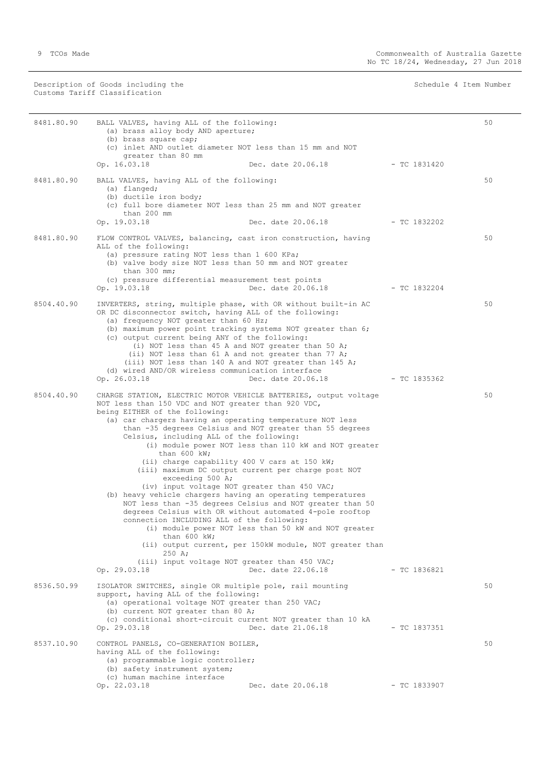Description of Goods including the Schedule 4 Item Number (Schedule 4 Item Number Customs Tariff Classification

| 8481.80.90 | BALL VALVES, having ALL of the following:<br>(a) brass alloy body AND aperture;<br>(b) brass square cap;<br>(c) inlet AND outlet diameter NOT less than 15 mm and NOT<br>greater than 80 mm<br>Op. 16.03.18<br>Dec. date 20.06.18                                                                                                                                                                                                                                                                                                                                                                                                                                                                                                                                                                                                                                                                                                                                                                                                                                | $-$ TC 1831420                  | 50 |
|------------|------------------------------------------------------------------------------------------------------------------------------------------------------------------------------------------------------------------------------------------------------------------------------------------------------------------------------------------------------------------------------------------------------------------------------------------------------------------------------------------------------------------------------------------------------------------------------------------------------------------------------------------------------------------------------------------------------------------------------------------------------------------------------------------------------------------------------------------------------------------------------------------------------------------------------------------------------------------------------------------------------------------------------------------------------------------|---------------------------------|----|
|            |                                                                                                                                                                                                                                                                                                                                                                                                                                                                                                                                                                                                                                                                                                                                                                                                                                                                                                                                                                                                                                                                  |                                 |    |
| 8481.80.90 | BALL VALVES, having ALL of the following:<br>(a) flanged;<br>(b) ductile iron body;<br>(c) full bore diameter NOT less than 25 mm and NOT greater<br>than 200 mm                                                                                                                                                                                                                                                                                                                                                                                                                                                                                                                                                                                                                                                                                                                                                                                                                                                                                                 |                                 | 50 |
|            | Op. 19.03.18                                                                                                                                                                                                                                                                                                                                                                                                                                                                                                                                                                                                                                                                                                                                                                                                                                                                                                                                                                                                                                                     | Dec. date 20.06.18 - TC 1832202 |    |
| 8481.80.90 | FLOW CONTROL VALVES, balancing, cast iron construction, having<br>ALL of the following:<br>(a) pressure rating NOT less than 1 600 KPa;<br>(b) valve body size NOT less than 50 mm and NOT greater<br>than $300$ mm;<br>(c) pressure differential measurement test points<br>Dec. date 20.06.18<br>Op. 19.03.18                                                                                                                                                                                                                                                                                                                                                                                                                                                                                                                                                                                                                                                                                                                                                  | $-$ TC 1832204                  | 50 |
| 8504.40.90 | INVERTERS, string, multiple phase, with OR without built-in AC<br>OR DC disconnector switch, having ALL of the following:<br>(a) frequency NOT greater than 60 Hz;<br>(b) maximum power point tracking systems NOT greater than 6;<br>(c) output current being ANY of the following:<br>(i) NOT less than 45 A and NOT greater than 50 A;<br>(ii) NOT less than 61 A and not greater than 77 A;<br>(iii) NOT less than 140 A and NOT greater than 145 A;<br>(d) wired AND/OR wireless communication interface<br>Op. 26.03.18<br>Dec. date 20.06.18                                                                                                                                                                                                                                                                                                                                                                                                                                                                                                              | - TC 1835362                    | 50 |
| 8504.40.90 | CHARGE STATION, ELECTRIC MOTOR VEHICLE BATTERIES, output voltage<br>NOT less than 150 VDC and NOT greater than 920 VDC,<br>being EITHER of the following:<br>(a) car chargers having an operating temperature NOT less<br>than -35 degrees Celsius and NOT greater than 55 degrees<br>Celsius, including ALL of the following:<br>(i) module power NOT less than 110 kW and NOT greater<br>than $600$ kW;<br>(ii) charge capability 400 V cars at 150 kW;<br>(iii) maximum DC output current per charge post NOT<br>exceeding 500 A;<br>(iv) input voltage NOT greater than 450 VAC;<br>(b) heavy vehicle chargers having an operating temperatures<br>NOT less than -35 degrees Celsius and NOT greater than 50<br>degrees Celsius with OR without automated 4-pole rooftop<br>connection INCLUDING ALL of the following:<br>(i) module power NOT less than 50 kW and NOT greater<br>than $600$ kW;<br>(ii) output current, per 150kW module, NOT greater than<br>250 A;<br>(iii) input voltage NOT greater than 450 VAC;<br>Dec. date 22.06.18<br>Op. 29.03.18 | $-$ TC 1836821                  | 50 |
| 8536.50.99 | ISOLATOR SWITCHES, single OR multiple pole, rail mounting<br>support, having ALL of the following:<br>(a) operational voltage NOT greater than 250 VAC;<br>(b) current NOT greater than 80 A;<br>(c) conditional short-circuit current NOT greater than 10 kA<br>Dec. date 21.06.18<br>Op. 29.03.18                                                                                                                                                                                                                                                                                                                                                                                                                                                                                                                                                                                                                                                                                                                                                              | $-$ TC 1837351                  | 50 |
| 8537.10.90 | CONTROL PANELS, CO-GENERATION BOILER,<br>having ALL of the following:<br>(a) programmable logic controller;<br>(b) safety instrument system;<br>(c) human machine interface<br>Op. 22.03.18<br>Dec. date 20.06.18                                                                                                                                                                                                                                                                                                                                                                                                                                                                                                                                                                                                                                                                                                                                                                                                                                                | $-$ TC 1833907                  | 50 |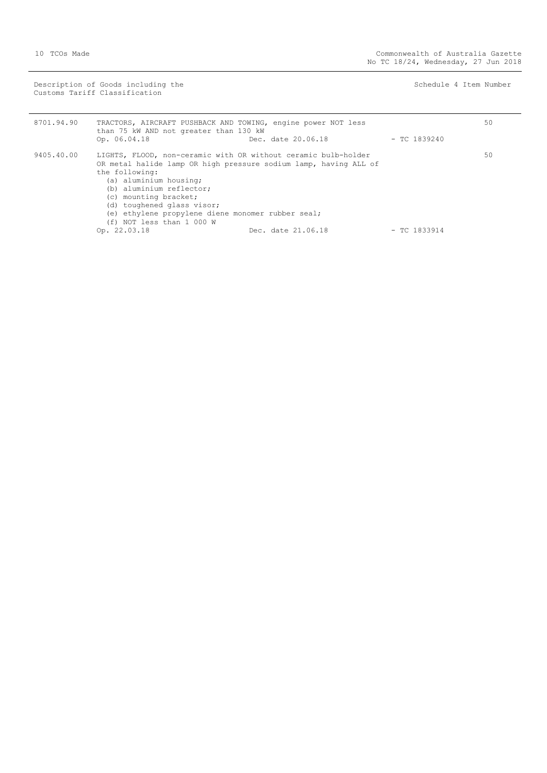Description of Goods including the Schedule 4 Item Number (Schedule 4 Item Number Customs Tariff Classification

| 8701.94.90 | TRACTORS, AIRCRAFT PUSHBACK AND TOWING, engine power NOT less<br>than 75 kW AND not greater than 130 kW                                              |                    |                | 50 |
|------------|------------------------------------------------------------------------------------------------------------------------------------------------------|--------------------|----------------|----|
|            | Op. 06.04.18                                                                                                                                         | Dec. date 20.06.18 | $-$ TC 1839240 |    |
| 9405.40.00 | LIGHTS, FLOOD, non-ceramic with OR without ceramic bulb-holder<br>OR metal halide lamp OR high pressure sodium lamp, having ALL of<br>the following: |                    |                | 50 |
|            | (a) aluminium housing;                                                                                                                               |                    |                |    |
|            | (b) aluminium reflector;<br>(c) mounting bracket;                                                                                                    |                    |                |    |
|            | (d) toughened glass visor;                                                                                                                           |                    |                |    |
|            | (e) ethylene propylene diene monomer rubber seal;<br>(f) NOT less than 1 000 W                                                                       |                    |                |    |
|            | Op. 22.03.18                                                                                                                                         | Dec. date 21.06.18 | $-$ TC 1833914 |    |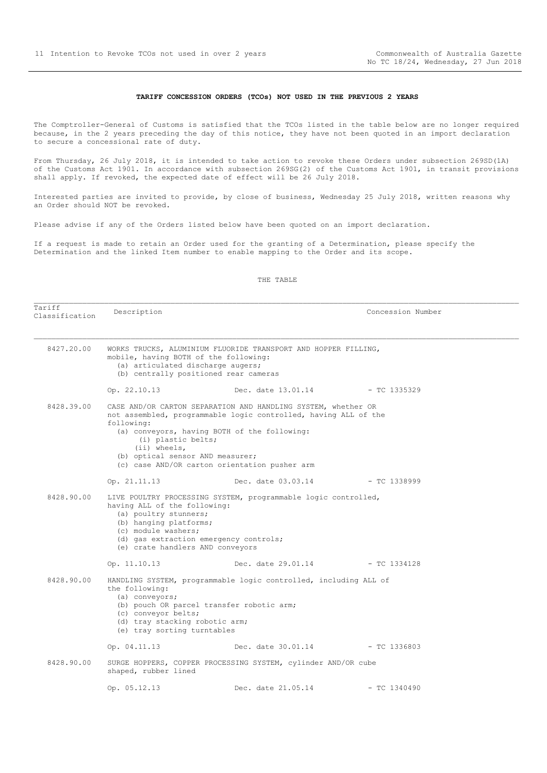#### **TARIFF CONCESSION ORDERS (TCOs) NOT USED IN THE PREVIOUS 2 YEARS**

<span id="page-10-0"></span>The Comptroller-General of Customs is satisfied that the TCOs listed in the table below are no longer required because, in the 2 years preceding the day of this notice, they have not been quoted in an import declaration to secure a concessional rate of duty.

From Thursday, 26 July 2018, it is intended to take action to revoke these Orders under subsection 269SD(1A) of the Customs Act 1901. In accordance with subsection 269SG(2) of the Customs Act 1901, in transit provisions shall apply. If revoked, the expected date of effect will be 26 July 2018.

Interested parties are invited to provide, by close of business, Wednesday 25 July 2018, written reasons why an Order should NOT be revoked.

Please advise if any of the Orders listed below have been quoted on an import declaration.

If a request is made to retain an Order used for the granting of a Determination, please specify the Determination and the linked Item number to enable mapping to the Order and its scope.

#### THE TABLE

Tariff<br>Classification Description  $\blacksquare$  8427.20.00 WORKS TRUCKS, ALUMINIUM FLUORIDE TRANSPORT AND HOPPER FILLING, mobile, having BOTH of the following: (a) articulated discharge augers; (b) centrally positioned rear cameras Op. 22.10.13 Dec. date 13.01.14 - TC 1335329 8428.39.00 CASE AND/OR CARTON SEPARATION AND HANDLING SYSTEM, whether OR not assembled, programmable logic controlled, having ALL of the following: (a) conveyors, having BOTH of the following: (i) plastic belts; (ii) wheels, (b) optical sensor AND measurer; (c) case AND/OR carton orientation pusher arm Op. 21.11.13 Dec. date 03.03.14 - TC 1338999 8428.90.00 LIVE POULTRY PROCESSING SYSTEM, programmable logic controlled, having ALL of the following: (a) poultry stunners; (b) hanging platforms; (c) module washers; (d) gas extraction emergency controls; (e) crate handlers AND conveyors Op. 11.10.13 Dec. date 29.01.14 - TC 1334128 8428.90.00 HANDLING SYSTEM, programmable logic controlled, including ALL of the following: (a) conveyors; (b) pouch OR parcel transfer robotic arm; (c) conveyor belts; (d) tray stacking robotic arm; (e) tray sorting turntables Op. 04.11.13 Dec. date 30.01.14 - TC 1336803 8428.90.00 SURGE HOPPERS, COPPER PROCESSING SYSTEM, cylinder AND/OR cube shaped, rubber lined Op. 05.12.13 Dec. date 21.05.14 - TC 1340490